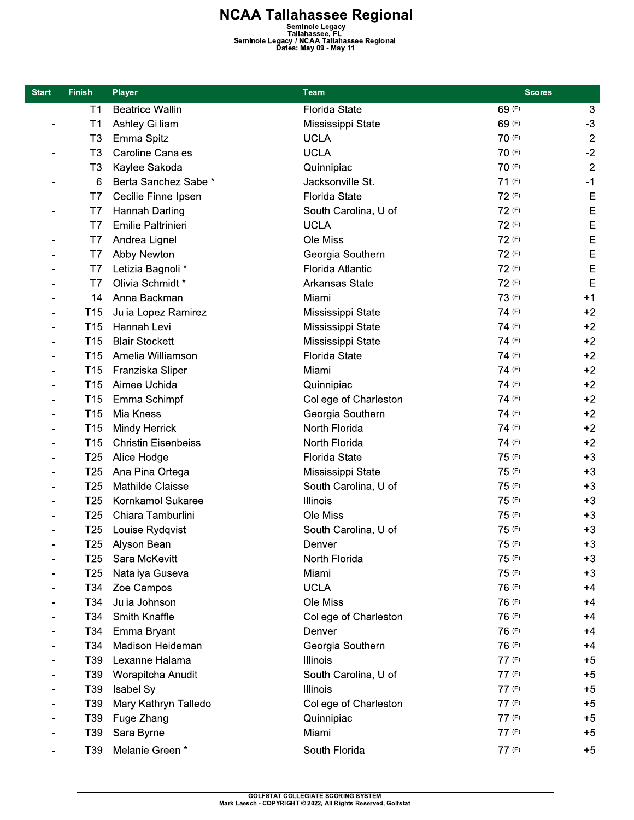**NCAA Tallahassee Regional**<br>Seminole Legacy<br>Tallahassee, FL<br>Seminole Legacy / NCAA Tallahassee Regional<br>Dates: May 09 - May 11

| <b>Start</b> | <b>Finish</b>   | <b>Player</b>              | <b>Team</b>           | <b>Scores</b> |             |
|--------------|-----------------|----------------------------|-----------------------|---------------|-------------|
|              | T1              | <b>Beatrice Wallin</b>     | <b>Florida State</b>  | 69 (F)        | $-3$        |
|              | T1              | <b>Ashley Gilliam</b>      | Mississippi State     | 69 (F)        | $-3$        |
|              | T <sub>3</sub>  | Emma Spitz                 | <b>UCLA</b>           | 70 (F)        | $-2$        |
|              | T <sub>3</sub>  | <b>Caroline Canales</b>    | <b>UCLA</b>           | 70 (F)        | $-2$        |
|              | T <sub>3</sub>  | Kaylee Sakoda              | Quinnipiac            | 70 (F)        | $-2$        |
|              | 6               | Berta Sanchez Sabe *       | Jacksonville St.      | 71 (F)        | $-1$        |
|              | T7              | Cecilie Finne-Ipsen        | <b>Florida State</b>  | 72 (F)        | E           |
|              | T7              | Hannah Darling             | South Carolina, U of  | 72 (F)        | E           |
|              | T7              | Emilie Paltrinieri         | <b>UCLA</b>           | 72 (F)        | E           |
|              | T7              | Andrea Lignell             | Ole Miss              | 72 (F)        | E           |
|              | T7              | Abby Newton                | Georgia Southern      | 72 (F)        | $\mathsf E$ |
|              | T7              | Letizia Bagnoli *          | Florida Atlantic      | 72 (F)        | E           |
|              | T7              | Olivia Schmidt*            | <b>Arkansas State</b> | 72 (F)        | E           |
|              | 14              | Anna Backman               | Miami                 | 73 (F)        | $+1$        |
|              | T <sub>15</sub> | Julia Lopez Ramirez        | Mississippi State     | 74 (F)        | $+2$        |
|              | T <sub>15</sub> | Hannah Levi                | Mississippi State     | 74 (F)        | $+2$        |
|              | T <sub>15</sub> | <b>Blair Stockett</b>      | Mississippi State     | 74 (F)        | $+2$        |
|              | T <sub>15</sub> | Amelia Williamson          | <b>Florida State</b>  | 74 (F)        | $+2$        |
|              | T <sub>15</sub> | Franziska Sliper           | Miami                 | 74 (F)        | $+2$        |
|              | T <sub>15</sub> | Aimee Uchida               | Quinnipiac            | 74 (F)        | $+2$        |
|              | T <sub>15</sub> | Emma Schimpf               | College of Charleston | 74 (F)        | $+2$        |
|              | T <sub>15</sub> | Mia Kness                  | Georgia Southern      | 74 (F)        | $+2$        |
|              | T <sub>15</sub> | <b>Mindy Herrick</b>       | North Florida         | 74 (F)        | $+2$        |
|              | T <sub>15</sub> | <b>Christin Eisenbeiss</b> | North Florida         | 74 (F)        | $+2$        |
|              | T <sub>25</sub> | Alice Hodge                | <b>Florida State</b>  | 75 (F)        | $+3$        |
|              | T <sub>25</sub> | Ana Pina Ortega            | Mississippi State     | 75 (F)        | $+3$        |
|              | T <sub>25</sub> | Mathilde Claisse           | South Carolina, U of  | 75 (F)        | $+3$        |
|              | T <sub>25</sub> | Kornkamol Sukaree          | Illinois              | 75 (F)        | $+3$        |
|              | T <sub>25</sub> | Chiara Tamburlini          | Ole Miss              | 75 (F)        | $+3$        |
|              | T <sub>25</sub> | Louise Rydqvist            | South Carolina, U of  | 75 (F)        | $+3$        |
|              |                 | T25 Alyson Bean            | Denver                | 75 (F)        | $+3$        |
|              | T25             | Sara McKevitt              | North Florida         | 75 (F)        | $+3$        |
|              | T <sub>25</sub> | Nataliya Guseva            | Miami                 | 75 (F)        | $+3$        |
|              | T34             | Zoe Campos                 | <b>UCLA</b>           | 76 (F)        | $+4$        |
|              | T34             | Julia Johnson              | Ole Miss              | 76 (F)        | $+4$        |
|              | T34             | Smith Knaffle              | College of Charleston | 76 (F)        | $+4$        |
|              | T34             | Emma Bryant                | Denver                | 76 (F)        | $+4$        |
|              | T34             | Madison Heideman           | Georgia Southern      | 76 (F)        | $+4$        |
|              | T39             | Lexanne Halama             | Illinois              | 77 (F)        | $+5$        |
|              | T39             | Worapitcha Anudit          | South Carolina, U of  | 77 (F)        | $+5$        |
|              | T <sub>39</sub> | Isabel Sy                  | Illinois              | 77 (F)        | $+5$        |
|              | T39             | Mary Kathryn Talledo       | College of Charleston | 77 (F)        | $+5$        |
|              | T39             | Fuge Zhang                 | Quinnipiac            | 77 (F)        | $+5$        |
|              | T39             | Sara Byrne                 | Miami                 | 77 (F)        | $+5$        |
|              | T39             | Melanie Green*             | South Florida         | 77 (F)        | $+5$        |